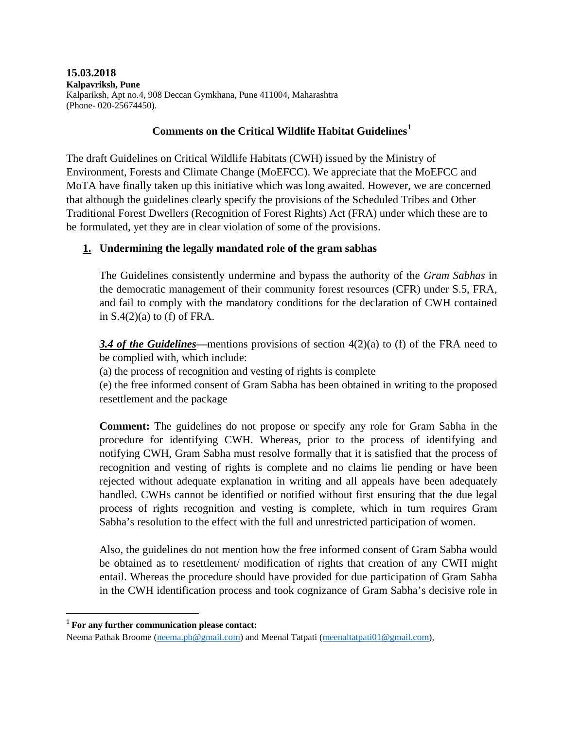**15.03.2018 Kalpavriksh, Pune** Kalpariksh, Apt no.4, 908 Deccan Gymkhana, Pune 411004, Maharashtra (Phone- 020-25674450).

### **Comments on the Critical Wildlife Habitat Guidelines[1](#page-0-0)**

The draft Guidelines on Critical Wildlife Habitats (CWH) issued by the Ministry of Environment, Forests and Climate Change (MoEFCC). We appreciate that the MoEFCC and MoTA have finally taken up this initiative which was long awaited. However, we are concerned that although the guidelines clearly specify the provisions of the Scheduled Tribes and Other Traditional Forest Dwellers (Recognition of Forest Rights) Act (FRA) under which these are to be formulated, yet they are in clear violation of some of the provisions.

### **1. Undermining the legally mandated role of the gram sabhas**

The Guidelines consistently undermine and bypass the authority of the *Gram Sabhas* in the democratic management of their community forest resources (CFR) under S.5, FRA, and fail to comply with the mandatory conditions for the declaration of CWH contained in  $S(4(2)(a)$  to (f) of FRA.

**3.4 of the Guidelines**—mentions provisions of section 4(2)(a) to (f) of the FRA need to be complied with, which include:

(a) the process of recognition and vesting of rights is complete

(e) the free informed consent of Gram Sabha has been obtained in writing to the proposed resettlement and the package

**Comment:** The guidelines do not propose or specify any role for Gram Sabha in the procedure for identifying CWH. Whereas, prior to the process of identifying and notifying CWH, Gram Sabha must resolve formally that it is satisfied that the process of recognition and vesting of rights is complete and no claims lie pending or have been rejected without adequate explanation in writing and all appeals have been adequately handled. CWHs cannot be identified or notified without first ensuring that the due legal process of rights recognition and vesting is complete, which in turn requires Gram Sabha's resolution to the effect with the full and unrestricted participation of women.

Also, the guidelines do not mention how the free informed consent of Gram Sabha would be obtained as to resettlement/ modification of rights that creation of any CWH might entail. Whereas the procedure should have provided for due participation of Gram Sabha in the CWH identification process and took cognizance of Gram Sabha's decisive role in

<span id="page-0-0"></span> <sup>1</sup> **For any further communication please contact:**

Neema Pathak Broome [\(neema.pb@gmail.com\)](mailto:neema.pb@gmail.com) and Meenal Tatpati [\(meenaltatpati01@gmail.com\)](mailto:meenaltatpati01@gmail.com),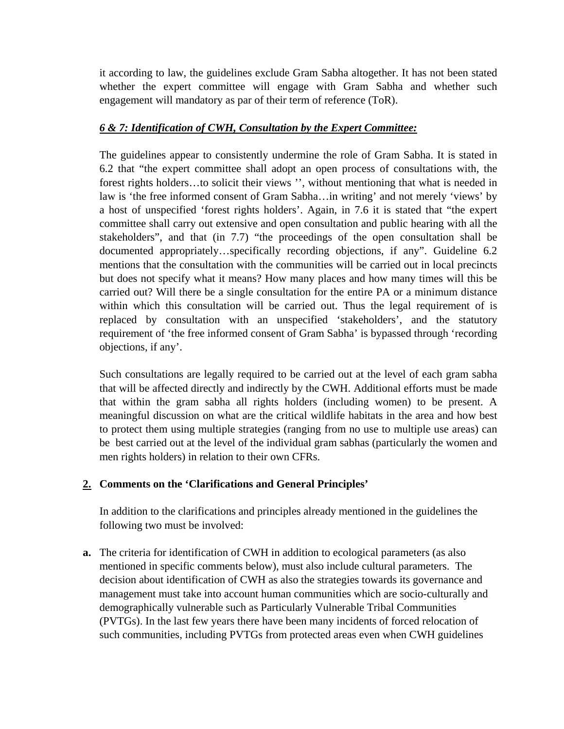it according to law, the guidelines exclude Gram Sabha altogether. It has not been stated whether the expert committee will engage with Gram Sabha and whether such engagement will mandatory as par of their term of reference (ToR).

## *6 & 7: Identification of CWH, Consultation by the Expert Committee:*

The guidelines appear to consistently undermine the role of Gram Sabha. It is stated in 6.2 that "the expert committee shall adopt an open process of consultations with, the forest rights holders…to solicit their views '', without mentioning that what is needed in law is 'the free informed consent of Gram Sabha…in writing' and not merely 'views' by a host of unspecified 'forest rights holders'. Again, in 7.6 it is stated that "the expert committee shall carry out extensive and open consultation and public hearing with all the stakeholders", and that (in 7.7) "the proceedings of the open consultation shall be documented appropriately…specifically recording objections, if any". Guideline 6.2 mentions that the consultation with the communities will be carried out in local precincts but does not specify what it means? How many places and how many times will this be carried out? Will there be a single consultation for the entire PA or a minimum distance within which this consultation will be carried out. Thus the legal requirement of is replaced by consultation with an unspecified 'stakeholders', and the statutory requirement of 'the free informed consent of Gram Sabha' is bypassed through 'recording objections, if any'.

Such consultations are legally required to be carried out at the level of each gram sabha that will be affected directly and indirectly by the CWH. Additional efforts must be made that within the gram sabha all rights holders (including women) to be present. A meaningful discussion on what are the critical wildlife habitats in the area and how best to protect them using multiple strategies (ranging from no use to multiple use areas) can be best carried out at the level of the individual gram sabhas (particularly the women and men rights holders) in relation to their own CFRs.

# **2. Comments on the 'Clarifications and General Principles'**

In addition to the clarifications and principles already mentioned in the guidelines the following two must be involved:

**a.** The criteria for identification of CWH in addition to ecological parameters (as also mentioned in specific comments below), must also include cultural parameters. The decision about identification of CWH as also the strategies towards its governance and management must take into account human communities which are socio-culturally and demographically vulnerable such as Particularly Vulnerable Tribal Communities (PVTGs). In the last few years there have been many incidents of forced relocation of such communities, including PVTGs from protected areas even when CWH guidelines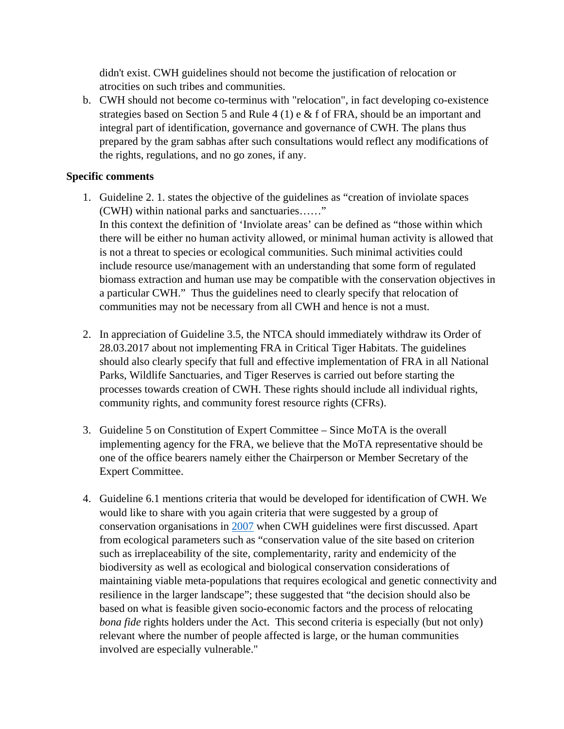didn't exist. CWH guidelines should not become the justification of relocation or atrocities on such tribes and communities.

b. CWH should not become co-terminus with "relocation", in fact developing co-existence strategies based on Section 5 and Rule 4 (1) e & f of FRA, should be an important and integral part of identification, governance and governance of CWH. The plans thus prepared by the gram sabhas after such consultations would reflect any modifications of the rights, regulations, and no go zones, if any.

#### **Specific comments**

- 1. Guideline 2. 1. states the objective of the guidelines as "creation of inviolate spaces (CWH) within national parks and sanctuaries……" In this context the definition of 'Inviolate areas' can be defined as "those within which there will be either no human activity allowed, or minimal human activity is allowed that is not a threat to species or ecological communities. Such minimal activities could include resource use/management with an understanding that some form of regulated biomass extraction and human use may be compatible with the conservation objectives in a particular CWH." Thus the guidelines need to clearly specify that relocation of communities may not be necessary from all CWH and hence is not a must.
- 2. In appreciation of Guideline 3.5, the NTCA should immediately withdraw its Order of 28.03.2017 about not implementing FRA in Critical Tiger Habitats. The guidelines should also clearly specify that full and effective implementation of FRA in all National Parks, Wildlife Sanctuaries, and Tiger Reserves is carried out before starting the processes towards creation of CWH. These rights should include all individual rights, community rights, and community forest resource rights (CFRs).
- 3. Guideline 5 on Constitution of Expert Committee Since MoTA is the overall implementing agency for the FRA, we believe that the MoTA representative should be one of the office bearers namely either the Chairperson or Member Secretary of the Expert Committee.
- 4. Guideline 6.1 mentions criteria that would be developed for identification of CWH. We would like to share with you again criteria that were suggested by a group of conservation organisations in [2007](http://www.kalpavriksh.org/index.php/conservation-livelihoods1/networks/future-of-conservation) when CWH guidelines were first discussed. Apart from ecological parameters such as "conservation value of the site based on criterion such as irreplaceability of the site, complementarity, rarity and endemicity of the biodiversity as well as ecological and biological conservation considerations of maintaining viable meta-populations that requires ecological and genetic connectivity and resilience in the larger landscape"; these suggested that "the decision should also be based on what is feasible given socio-economic factors and the process of relocating *bona fide* rights holders under the Act. This second criteria is especially (but not only) relevant where the number of people affected is large, or the human communities involved are especially vulnerable."